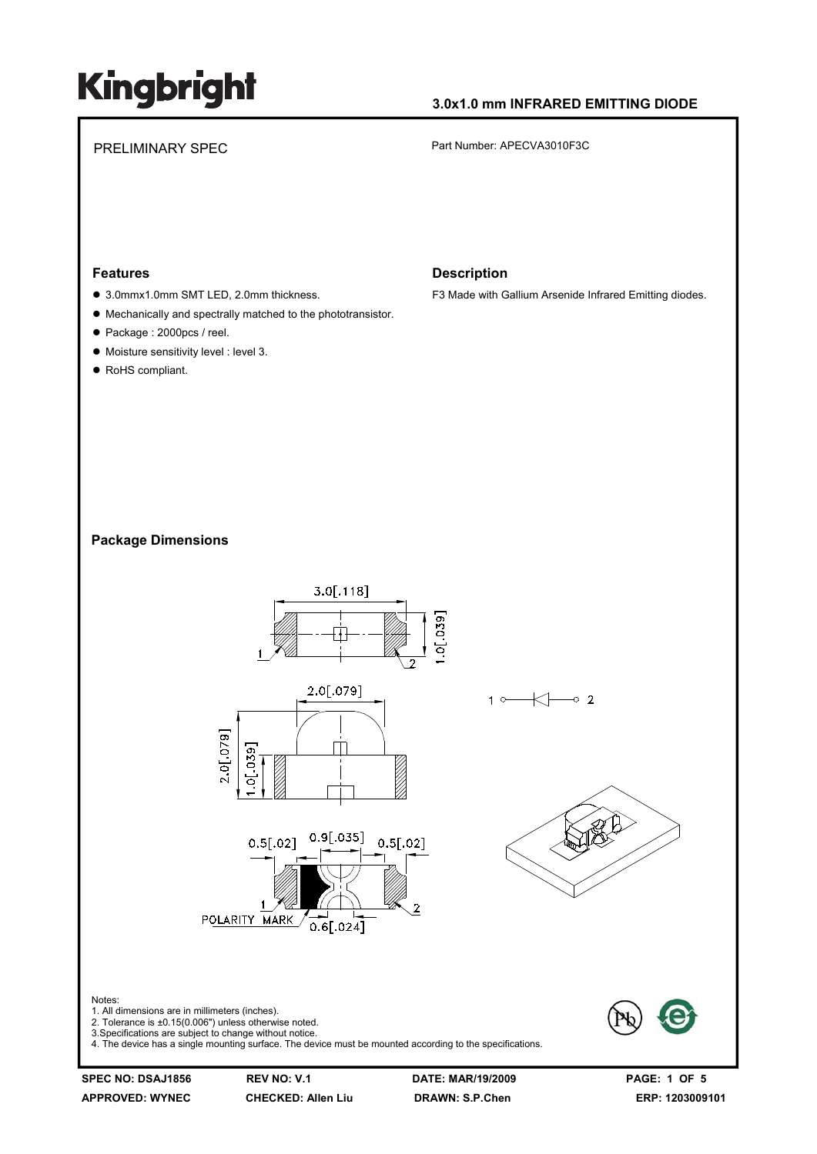### **3.0x1.0 mm INFRARED EMITTING DIODE**

PRELIMINARY SPEC PART Number: APECVA3010F3C

#### **Features**

- 3.0mmx1.0mm SMT LED, 2.0mm thickness.
- $\bullet$  Mechanically and spectrally matched to the phototransistor.
- Package : 2000pcs / reel.
- $\bullet$  Moisture sensitivity level : level 3.
- RoHS compliant.

#### **Description**

F3 Made with Gallium Arsenide Infrared Emitting diodes.

#### **Package Dimensions**



**APPROVED: WYNEC CHECKED: Allen Liu DRAWN: S.P.Chen ERP: 1203009101**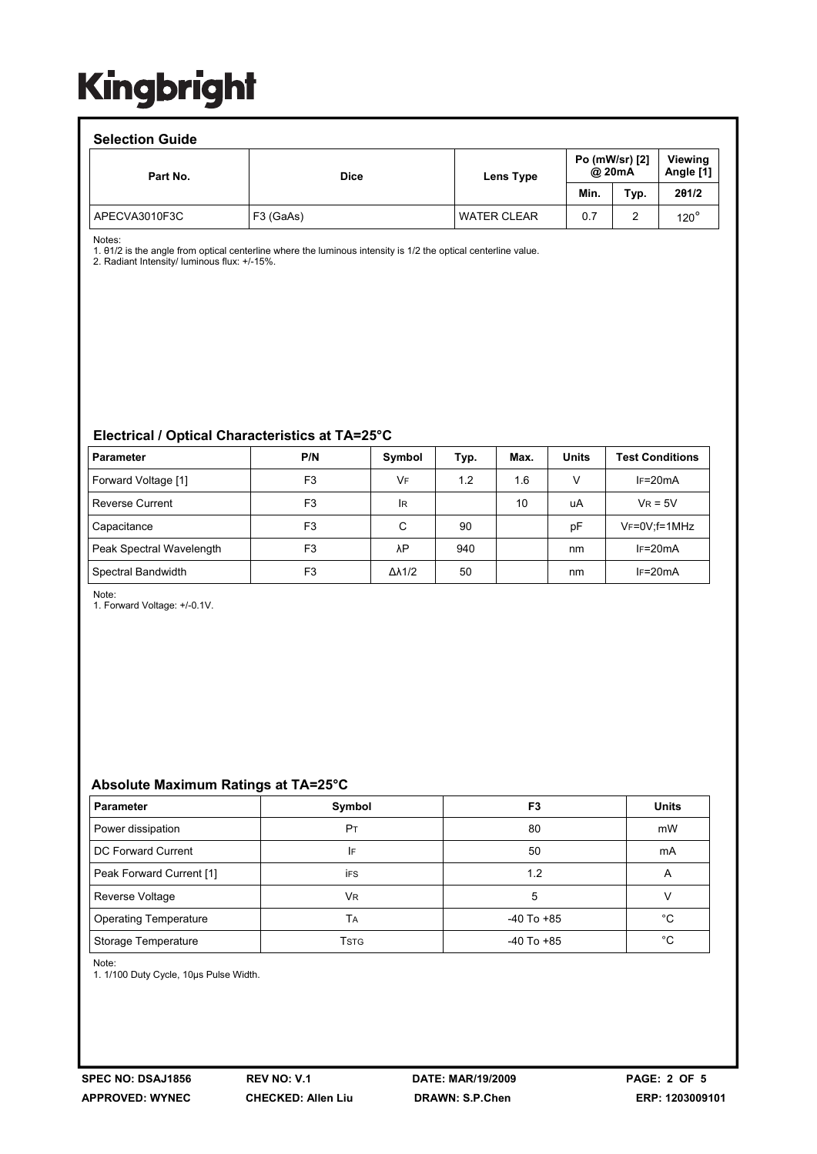### **Selection Guide**

| <u>sonovu vii vaidu</u> |             |                    |                          |        |                      |
|-------------------------|-------------|--------------------|--------------------------|--------|----------------------|
| Part No.                | <b>Dice</b> | Lens Type          | Po (mW/sr) [2]<br>@ 20mA |        | Viewina<br>Angle [1] |
|                         |             |                    | Min.                     | Typ.   | 201/2                |
| APECVA3010F3C           | F3 (GaAs)   | <b>WATER CLEAR</b> | 0.7                      | ົ<br>∼ | $120^\circ$          |

Notes:

1. θ1/2 is the angle from optical centerline where the luminous intensity is 1/2 the optical centerline value.

2. Radiant Intensity/ luminous flux: +/-15%.

### **Electrical / Optical Characteristics at TA=25°C**

| <b>Parameter</b>         | P/N            | Symbol              | Typ. | Max. | <b>Units</b> | <b>Test Conditions</b> |
|--------------------------|----------------|---------------------|------|------|--------------|------------------------|
| Forward Voltage [1]      | F <sub>3</sub> | VF                  | 1.2  | 1.6  | V            | $IF=20mA$              |
| <b>Reverse Current</b>   | F <sub>3</sub> | <b>IR</b>           |      | 10   | uA           | $V_R = 5V$             |
| Capacitance              | F <sub>3</sub> | C                   | 90   |      | pF           | $V_F = 0V$ ; f = 1MHz  |
| Peak Spectral Wavelength | F <sub>3</sub> | λP                  | 940  |      | nm           | $IF=20mA$              |
| Spectral Bandwidth       | F <sub>3</sub> | $\Delta\lambda$ 1/2 | 50   |      | nm           | $IF=20mA$              |

Note:

1. Forward Voltage: +/-0.1V.

### **Absolute Maximum Ratings at TA=25°C**

| <b>Parameter</b>             | Symbol         | F3             | <b>Units</b> |
|------------------------------|----------------|----------------|--------------|
| Power dissipation            | P <sub>T</sub> | 80             | mW           |
| DC Forward Current           | IF             | 50             | mA           |
| Peak Forward Current [1]     | <b>iFS</b>     | 1.2            | Α            |
| Reverse Voltage              | <b>VR</b>      | 5              |              |
| <b>Operating Temperature</b> | TА             | $-40$ To $+85$ | °C           |
| Storage Temperature          | Tstg           | $-40$ To $+85$ | °C           |

Note:

1. 1/100 Duty Cycle, 10μs Pulse Width.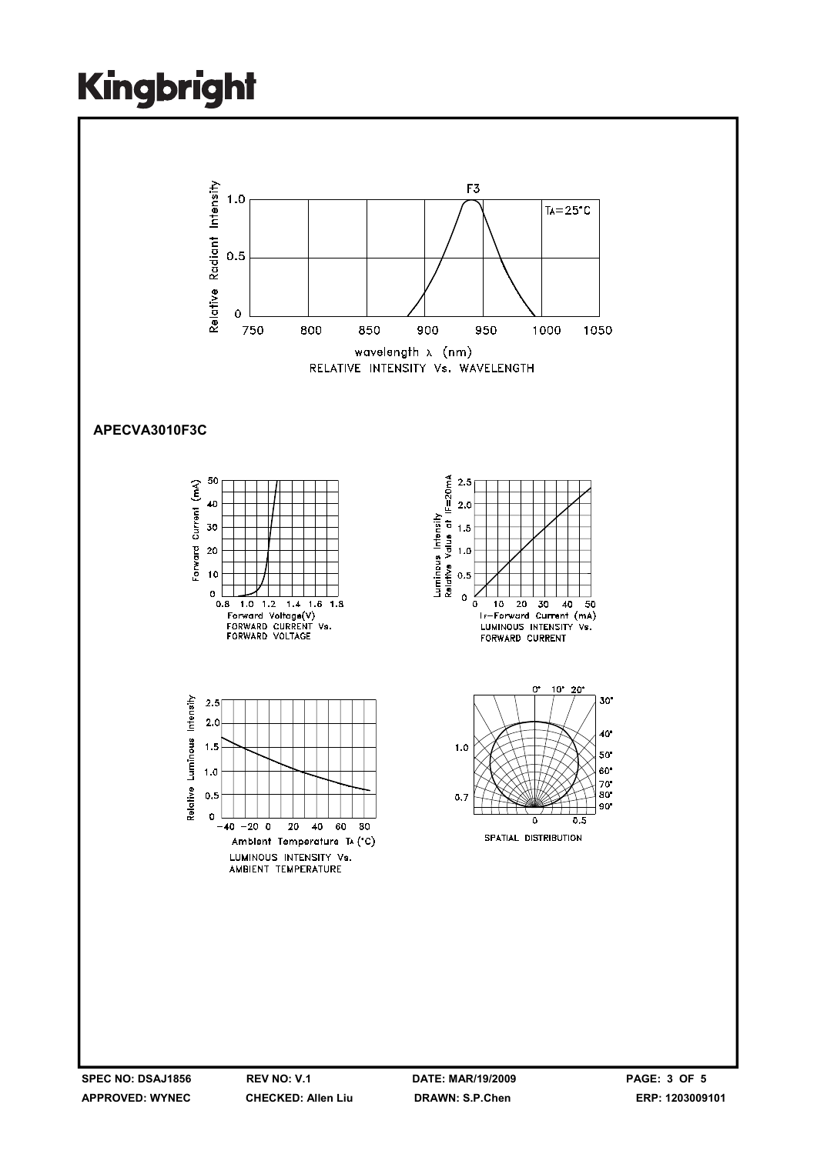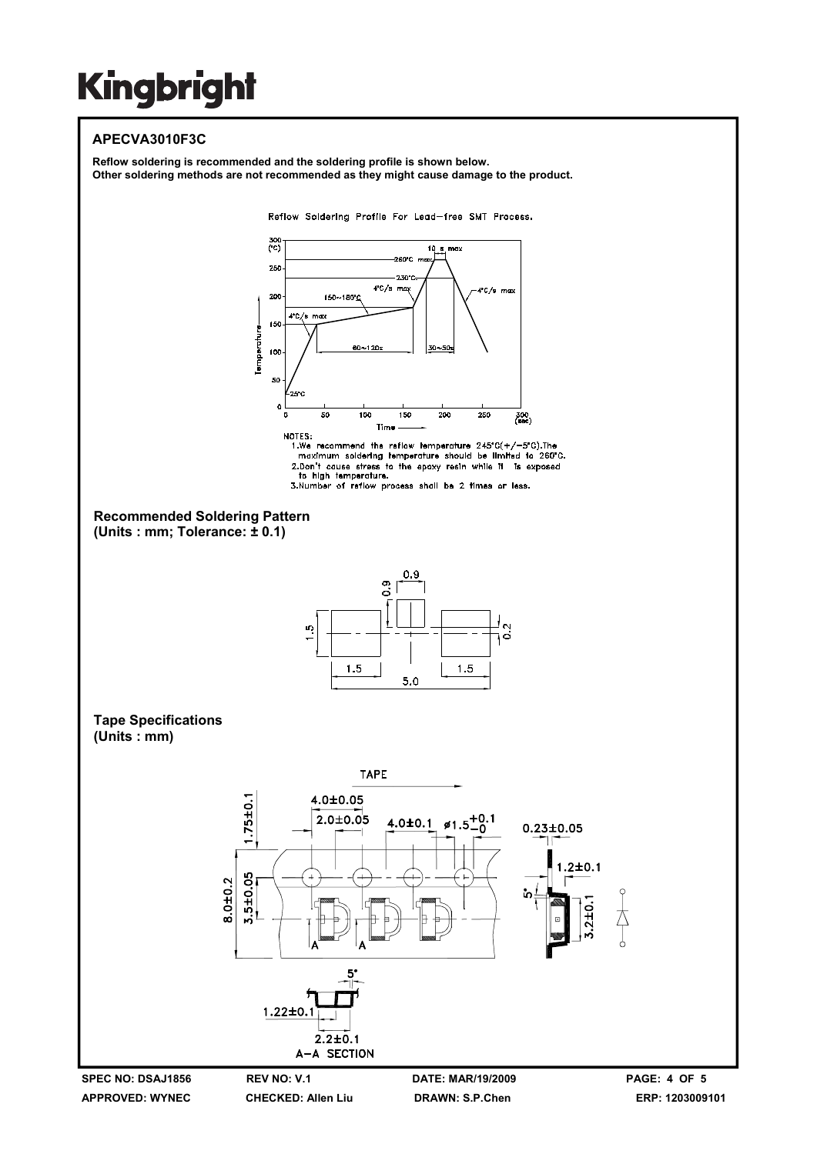### **APECVA3010F3C**

**Reflow soldering is recommended and the soldering profile is shown below. Other soldering methods are not recommended as they might cause damage to the product.** 

Reflow Soldering Profile For Lead-free SMT Process.



**APPROVED: WYNEC CHECKED: Allen Liu DRAWN: S.P.Chen ERP: 1203009101**